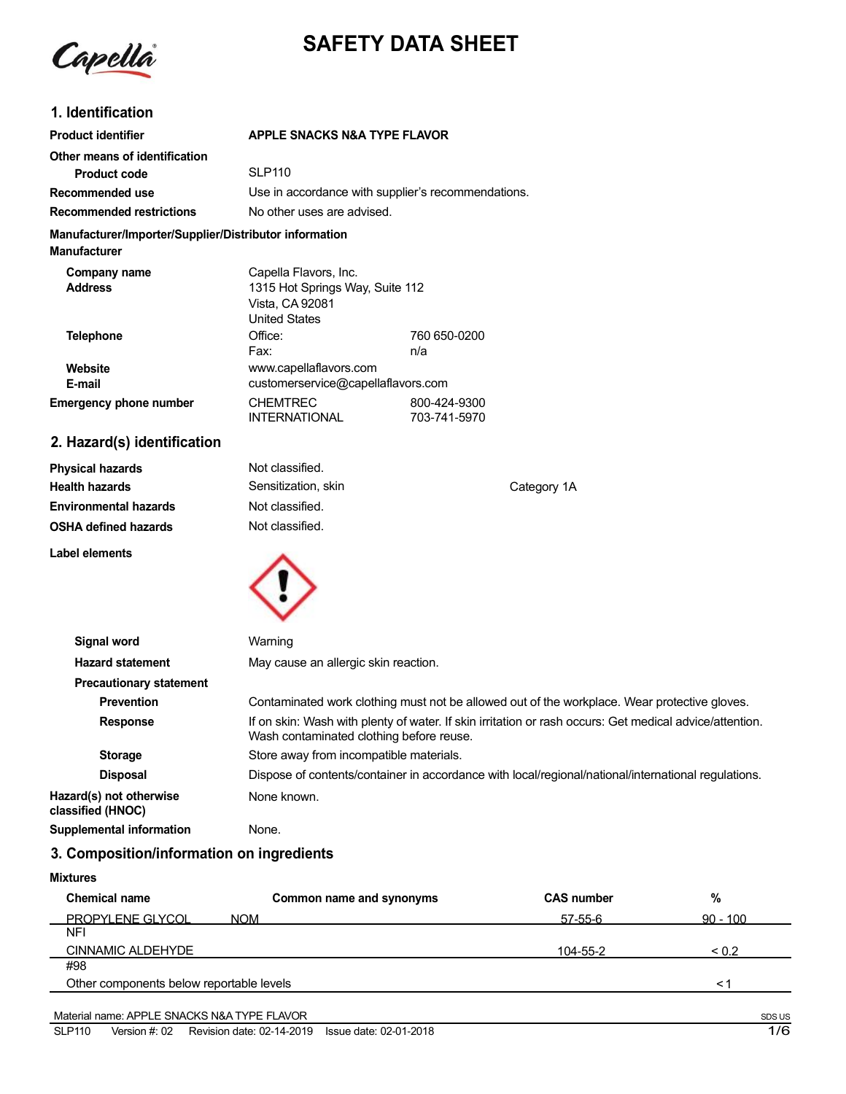Capella

# **SAFETY DATA SHEET**

### **1. Identification**

| <b>Product identifier</b>                              | APPLE SNACKS N&A TYPE FLAVOR                       |
|--------------------------------------------------------|----------------------------------------------------|
| Other means of identification                          |                                                    |
| <b>Product code</b>                                    | SLP <sub>110</sub>                                 |
| Recommended use                                        | Use in accordance with supplier's recommendations. |
| <b>Recommended restrictions</b>                        | No other uses are advised.                         |
| Manufacturer/Importer/Supplier/Distributor information |                                                    |

**Manufacturer**

**Label elements**

| Company name<br><b>Address</b> | Capella Flavors, Inc.<br>1315 Hot Springs Way, Suite 112<br>Vista, CA 92081 |                              |
|--------------------------------|-----------------------------------------------------------------------------|------------------------------|
|                                | <b>United States</b>                                                        |                              |
| <b>Telephone</b>               | Office:                                                                     | 760 650-0200                 |
|                                | Fax:                                                                        | n/a                          |
| Website<br>E-mail              | www.capellaflavors.com<br>customerservice@capellaflavors.com                |                              |
| <b>Emergency phone number</b>  | <b>CHEMTREC</b><br><b>INTERNATIONAL</b>                                     | 800-424-9300<br>703-741-5970 |

## **2. Hazard(s) identification**

**Physical hazards Health hazards Environmental hazards OSHA defined hazards** Not classified. Sensitization, skin Not classified. Not classified.



| Signal word                                  | Warning                                                                                                                                             |
|----------------------------------------------|-----------------------------------------------------------------------------------------------------------------------------------------------------|
| <b>Hazard statement</b>                      | May cause an allergic skin reaction.                                                                                                                |
| <b>Precautionary statement</b>               |                                                                                                                                                     |
| <b>Prevention</b>                            | Contaminated work clothing must not be allowed out of the workplace. Wear protective gloves.                                                        |
| <b>Response</b>                              | If on skin: Wash with plenty of water. If skin irritation or rash occurs: Get medical advice/attention.<br>Wash contaminated clothing before reuse. |
| <b>Storage</b>                               | Store away from incompatible materials.                                                                                                             |
| <b>Disposal</b>                              | Dispose of contents/container in accordance with local/regional/national/international regulations.                                                 |
| Hazard(s) not otherwise<br>classified (HNOC) | None known.                                                                                                                                         |
| Supplemental information                     | None.                                                                                                                                               |

Category 1A

### **3. Composition/information on ingredients**

| <b>Chemical name</b>                     | Common name and synonyms | <b>CAS number</b> | %          |
|------------------------------------------|--------------------------|-------------------|------------|
| <b>PROPYLENE GLYCOL</b>                  | <b>NOM</b>               | $57 - 55 - 6$     | $90 - 100$ |
| <b>NFI</b>                               |                          |                   |            |
| <b>CINNAMIC ALDEHYDE</b>                 |                          | 104-55-2          | ${}_{0.2}$ |
| #98                                      |                          |                   |            |
| Other components below reportable levels |                          |                   | $\leq$ 1   |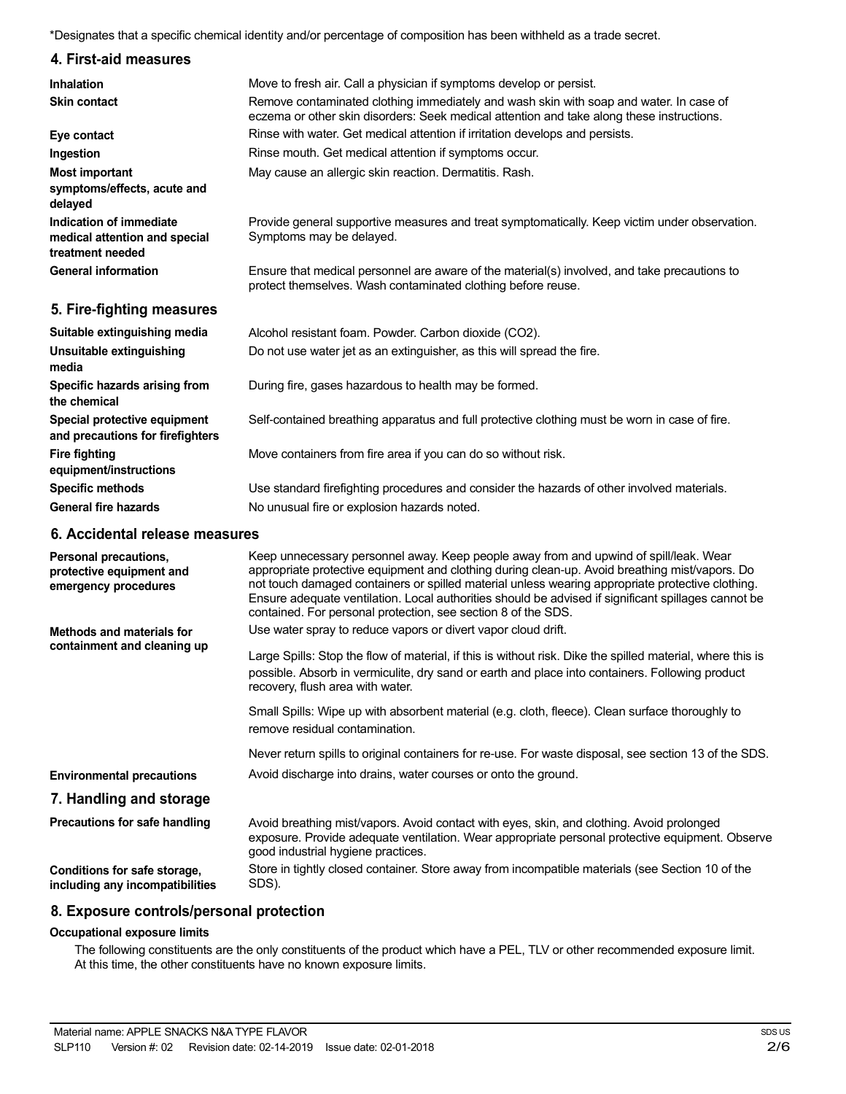\*Designates that a specific chemical identity and/or percentage of composition has been withheld as a trade secret.

### **4. First-aid measures**

| <b>Inhalation</b>                                                            | Move to fresh air. Call a physician if symptoms develop or persist.                                                                                                                 |
|------------------------------------------------------------------------------|-------------------------------------------------------------------------------------------------------------------------------------------------------------------------------------|
| <b>Skin contact</b>                                                          | Remove contaminated clothing immediately and wash skin with soap and water. In case of<br>eczema or other skin disorders: Seek medical attention and take along these instructions. |
| Eye contact                                                                  | Rinse with water. Get medical attention if irritation develops and persists.                                                                                                        |
| Ingestion                                                                    | Rinse mouth. Get medical attention if symptoms occur.                                                                                                                               |
| <b>Most important</b>                                                        | May cause an allergic skin reaction. Dermatitis. Rash.                                                                                                                              |
| symptoms/effects, acute and<br>delayed                                       |                                                                                                                                                                                     |
| Indication of immediate<br>medical attention and special<br>treatment needed | Provide general supportive measures and treat symptomatically. Keep victim under observation.<br>Symptoms may be delayed.                                                           |
| <b>General information</b>                                                   | Ensure that medical personnel are aware of the material(s) involved, and take precautions to<br>protect themselves. Wash contaminated clothing before reuse.                        |
| 5. Fire-fighting measures                                                    |                                                                                                                                                                                     |
| Suitable extinguishing media                                                 | Alcohol resistant foam. Powder. Carbon dioxide (CO2).                                                                                                                               |
| Unsuitable extinguishing<br>media                                            | Do not use water jet as an extinguisher, as this will spread the fire.                                                                                                              |
| Specific hazards arising from<br>the chemical                                | During fire, gases hazardous to health may be formed.                                                                                                                               |
| Special protective equipment<br>and precautions for firefighters             | Self-contained breathing apparatus and full protective clothing must be worn in case of fire.                                                                                       |

Move containers from fire area if you can do so without risk.

Use standard firefighting procedures and consider the hazards of other involved materials. No unusual fire or explosion hazards noted.

### **6. Accidental release measures**

**Fire fighting**

**equipment/instructions Specific methods General fire hazards**

| Personal precautions,<br>protective equipment and<br>emergency procedures | Keep unnecessary personnel away. Keep people away from and upwind of spill/leak. Wear<br>appropriate protective equipment and clothing during clean-up. Avoid breathing mist/vapors. Do<br>not touch damaged containers or spilled material unless wearing appropriate protective clothing.<br>Ensure adequate ventilation. Local authorities should be advised if significant spillages cannot be<br>contained. For personal protection, see section 8 of the SDS. |
|---------------------------------------------------------------------------|---------------------------------------------------------------------------------------------------------------------------------------------------------------------------------------------------------------------------------------------------------------------------------------------------------------------------------------------------------------------------------------------------------------------------------------------------------------------|
| Methods and materials for                                                 | Use water spray to reduce vapors or divert vapor cloud drift.                                                                                                                                                                                                                                                                                                                                                                                                       |
| containment and cleaning up                                               | Large Spills: Stop the flow of material, if this is without risk. Dike the spilled material, where this is<br>possible. Absorb in vermiculite, dry sand or earth and place into containers. Following product<br>recovery, flush area with water.                                                                                                                                                                                                                   |
|                                                                           | Small Spills: Wipe up with absorbent material (e.g. cloth, fleece). Clean surface thoroughly to<br>remove residual contamination.                                                                                                                                                                                                                                                                                                                                   |
|                                                                           | Never return spills to original containers for re-use. For waste disposal, see section 13 of the SDS.                                                                                                                                                                                                                                                                                                                                                               |
| <b>Environmental precautions</b>                                          | Avoid discharge into drains, water courses or onto the ground.                                                                                                                                                                                                                                                                                                                                                                                                      |
| 7. Handling and storage                                                   |                                                                                                                                                                                                                                                                                                                                                                                                                                                                     |
| Precautions for safe handling                                             | Avoid breathing mist/vapors. Avoid contact with eyes, skin, and clothing. Avoid prolonged<br>exposure. Provide adequate ventilation. Wear appropriate personal protective equipment. Observe<br>good industrial hygiene practices.                                                                                                                                                                                                                                  |
| Conditions for safe storage,<br>including any incompatibilities           | Store in tightly closed container. Store away from incompatible materials (see Section 10 of the<br>SDS).                                                                                                                                                                                                                                                                                                                                                           |

#### **8. Exposure controls/personal protection**

#### **Occupational exposure limits**

The following constituents are the only constituents of the product which have a PEL, TLV or other recommended exposure limit. At this time, the other constituents have no known exposure limits.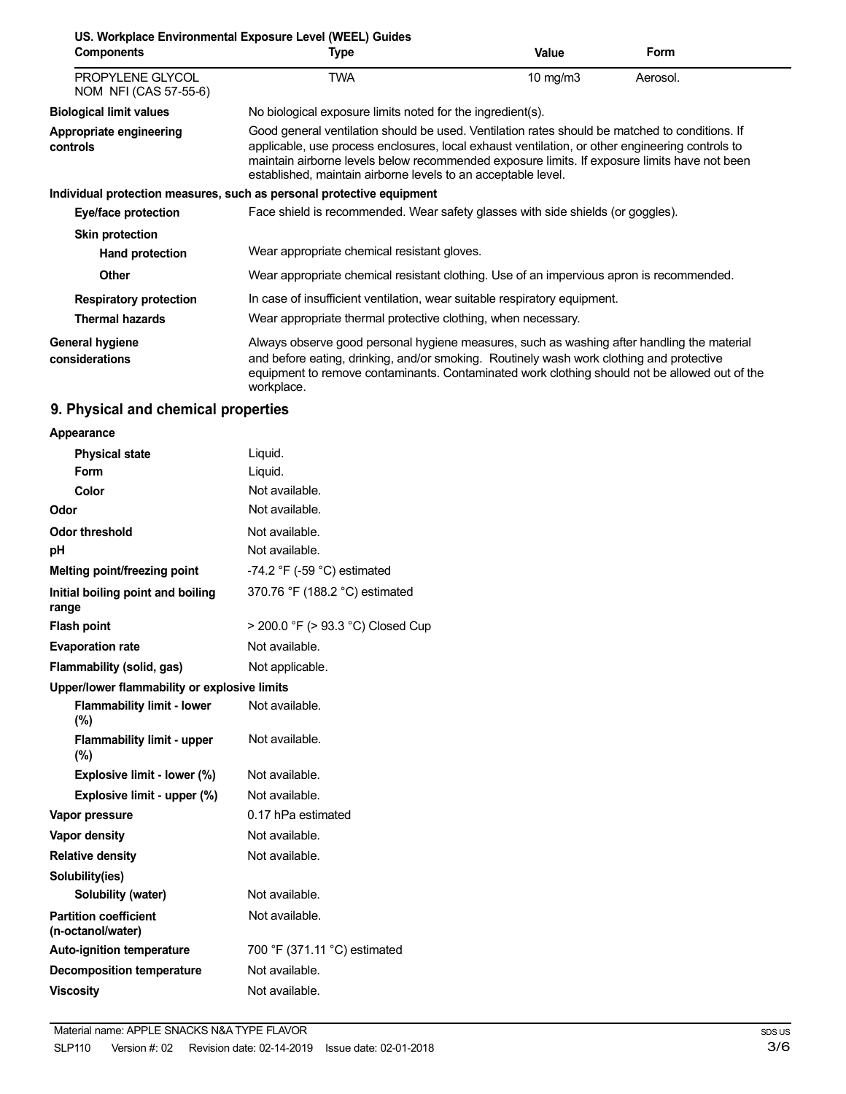| <b>Components</b>                         | US. Workplace Environmental Exposure Level (WEEL) Guides<br>Type                                                                                                                                                                                                                                                                                                   | Value      | Form     |
|-------------------------------------------|--------------------------------------------------------------------------------------------------------------------------------------------------------------------------------------------------------------------------------------------------------------------------------------------------------------------------------------------------------------------|------------|----------|
| PROPYLENE GLYCOL<br>NOM NFI (CAS 57-55-6) | TWA                                                                                                                                                                                                                                                                                                                                                                | 10 $mg/m3$ | Aerosol. |
| <b>Biological limit values</b>            | No biological exposure limits noted for the ingredient(s).                                                                                                                                                                                                                                                                                                         |            |          |
| Appropriate engineering<br>controls       | Good general ventilation should be used. Ventilation rates should be matched to conditions. If<br>applicable, use process enclosures, local exhaust ventilation, or other engineering controls to<br>maintain airborne levels below recommended exposure limits. If exposure limits have not been<br>established, maintain airborne levels to an acceptable level. |            |          |
|                                           | Individual protection measures, such as personal protective equipment                                                                                                                                                                                                                                                                                              |            |          |
| Eye/face protection                       | Face shield is recommended. Wear safety glasses with side shields (or goggles).                                                                                                                                                                                                                                                                                    |            |          |
| <b>Skin protection</b>                    |                                                                                                                                                                                                                                                                                                                                                                    |            |          |
| <b>Hand protection</b>                    | Wear appropriate chemical resistant gloves.                                                                                                                                                                                                                                                                                                                        |            |          |
| <b>Other</b>                              | Wear appropriate chemical resistant clothing. Use of an impervious apron is recommended.                                                                                                                                                                                                                                                                           |            |          |
| <b>Respiratory protection</b>             | In case of insufficient ventilation, wear suitable respiratory equipment.                                                                                                                                                                                                                                                                                          |            |          |
| <b>Thermal hazards</b>                    | Wear appropriate thermal protective clothing, when necessary.                                                                                                                                                                                                                                                                                                      |            |          |
| General hygiene<br>considerations         | Always observe good personal hygiene measures, such as washing after handling the material<br>and before eating, drinking, and/or smoking. Routinely wash work clothing and protective<br>equipment to remove contaminants. Contaminated work clothing should not be allowed out of the<br>workplace.                                                              |            |          |

# **9. Physical and chemical properties**

| Appearance                                        |                                               |  |
|---------------------------------------------------|-----------------------------------------------|--|
| <b>Physical state</b>                             | Liquid.                                       |  |
| Form                                              | Liquid.                                       |  |
| Color                                             | Not available.                                |  |
| Odor                                              | Not available.                                |  |
| <b>Odor threshold</b>                             | Not available.                                |  |
| рH                                                | Not available.                                |  |
| Melting point/freezing point                      | -74.2 $\degree$ F (-59 $\degree$ C) estimated |  |
| Initial boiling point and boiling<br>range        | 370.76 °F (188.2 °C) estimated                |  |
| <b>Flash point</b>                                | > 200.0 °F (> 93.3 °C) Closed Cup             |  |
| <b>Evaporation rate</b>                           | Not available.                                |  |
| Flammability (solid, gas)                         | Not applicable.                               |  |
| Upper/lower flammability or explosive limits      |                                               |  |
| <b>Flammability limit - lower</b><br>$(\%)$       | Not available.                                |  |
| <b>Flammability limit - upper</b><br>$(\%)$       | Not available.                                |  |
| Explosive limit - lower (%)                       | Not available.                                |  |
| Explosive limit - upper (%)                       | Not available.                                |  |
| Vapor pressure                                    | 0.17 hPa estimated                            |  |
| <b>Vapor density</b>                              | Not available.                                |  |
| <b>Relative density</b>                           | Not available.                                |  |
| Solubility(ies)                                   |                                               |  |
| Solubility (water)                                | Not available.                                |  |
| <b>Partition coefficient</b><br>(n-octanol/water) | Not available.                                |  |
| <b>Auto-ignition temperature</b>                  | 700 °F (371.11 °C) estimated                  |  |
| <b>Decomposition temperature</b>                  | Not available.                                |  |
| <b>Viscosity</b>                                  | Not available.                                |  |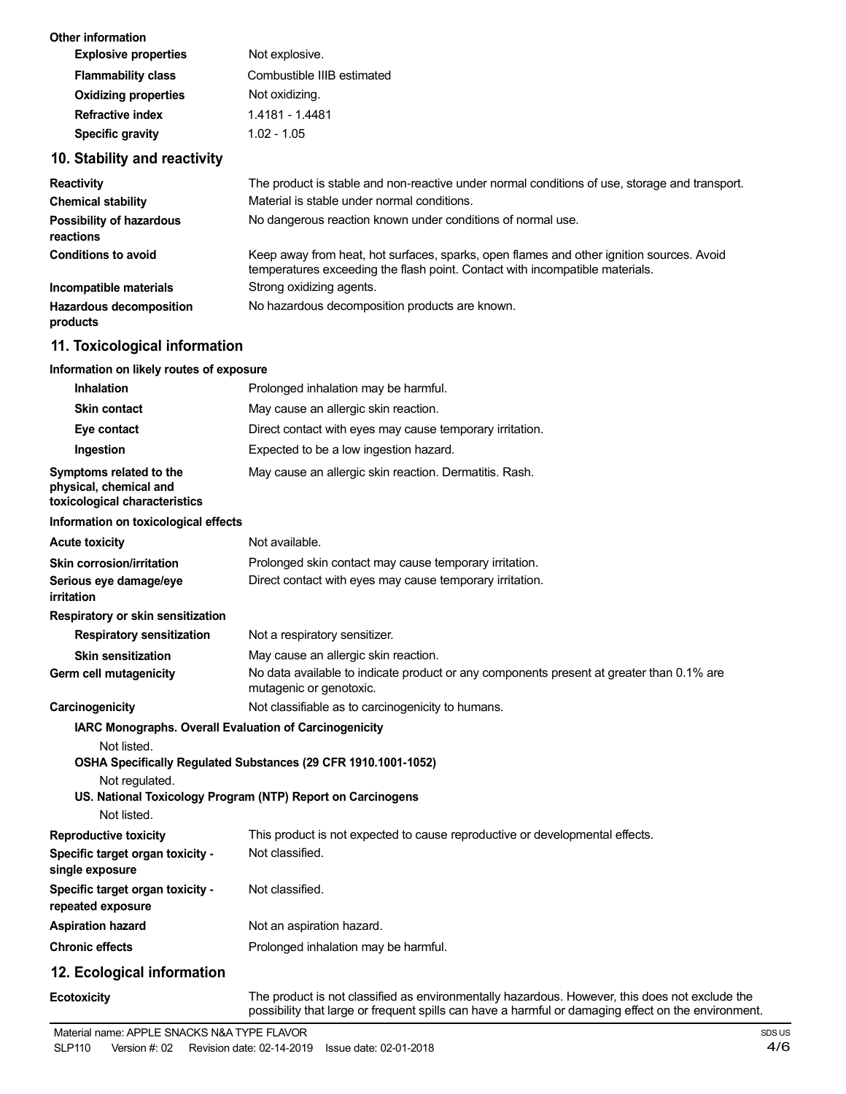| Not explosive.             |
|----------------------------|
| Combustible IIIB estimated |
| Not oxidizing.             |
| 1.4181 - 1.4481            |
| $1.02 - 1.05$              |
|                            |

## **10. Stability and reactivity**

| <b>Reactivity</b>                          | The product is stable and non-reactive under normal conditions of use, storage and transport.                                                                            |
|--------------------------------------------|--------------------------------------------------------------------------------------------------------------------------------------------------------------------------|
| <b>Chemical stability</b>                  | Material is stable under normal conditions.                                                                                                                              |
| Possibility of hazardous<br>reactions      | No dangerous reaction known under conditions of normal use.                                                                                                              |
| <b>Conditions to avoid</b>                 | Keep away from heat, hot surfaces, sparks, open flames and other ignition sources. Avoid<br>temperatures exceeding the flash point. Contact with incompatible materials. |
| Incompatible materials                     | Strong oxidizing agents.                                                                                                                                                 |
| <b>Hazardous decomposition</b><br>products | No hazardous decomposition products are known.                                                                                                                           |

# **11. Toxicological information**

#### **Information on likely routes of exposure**

| <b>Inhalation</b>                                                                  | Prolonged inhalation may be harmful.                                                                                                                                                                  |
|------------------------------------------------------------------------------------|-------------------------------------------------------------------------------------------------------------------------------------------------------------------------------------------------------|
| <b>Skin contact</b>                                                                | May cause an allergic skin reaction.                                                                                                                                                                  |
| Eye contact                                                                        | Direct contact with eyes may cause temporary irritation.                                                                                                                                              |
| Ingestion                                                                          | Expected to be a low ingestion hazard.                                                                                                                                                                |
| Symptoms related to the<br>physical, chemical and<br>toxicological characteristics | May cause an allergic skin reaction. Dermatitis. Rash.                                                                                                                                                |
| Information on toxicological effects                                               |                                                                                                                                                                                                       |
| <b>Acute toxicity</b>                                                              | Not available.                                                                                                                                                                                        |
| Skin corrosion/irritation                                                          | Prolonged skin contact may cause temporary irritation.                                                                                                                                                |
| Serious eye damage/eye<br>irritation                                               | Direct contact with eyes may cause temporary irritation.                                                                                                                                              |
| Respiratory or skin sensitization                                                  |                                                                                                                                                                                                       |
| <b>Respiratory sensitization</b>                                                   | Not a respiratory sensitizer.                                                                                                                                                                         |
| <b>Skin sensitization</b>                                                          | May cause an allergic skin reaction.                                                                                                                                                                  |
| Germ cell mutagenicity                                                             | No data available to indicate product or any components present at greater than 0.1% are<br>mutagenic or genotoxic.                                                                                   |
| Carcinogenicity                                                                    | Not classifiable as to carcinogenicity to humans.                                                                                                                                                     |
| IARC Monographs. Overall Evaluation of Carcinogenicity                             |                                                                                                                                                                                                       |
| Not listed.<br>Not regulated.<br>Not listed.                                       | OSHA Specifically Regulated Substances (29 CFR 1910.1001-1052)<br>US. National Toxicology Program (NTP) Report on Carcinogens                                                                         |
| <b>Reproductive toxicity</b>                                                       | This product is not expected to cause reproductive or developmental effects.                                                                                                                          |
| Specific target organ toxicity -<br>single exposure                                | Not classified.                                                                                                                                                                                       |
| Specific target organ toxicity -<br>repeated exposure                              | Not classified.                                                                                                                                                                                       |
| <b>Aspiration hazard</b>                                                           | Not an aspiration hazard.                                                                                                                                                                             |
| <b>Chronic effects</b>                                                             | Prolonged inhalation may be harmful.                                                                                                                                                                  |
| 12. Ecological information                                                         |                                                                                                                                                                                                       |
| <b>Ecotoxicity</b>                                                                 | The product is not classified as environmentally hazardous. However, this does not exclude the<br>possibility that large or frequent spills can have a harmful or damaging effect on the environment. |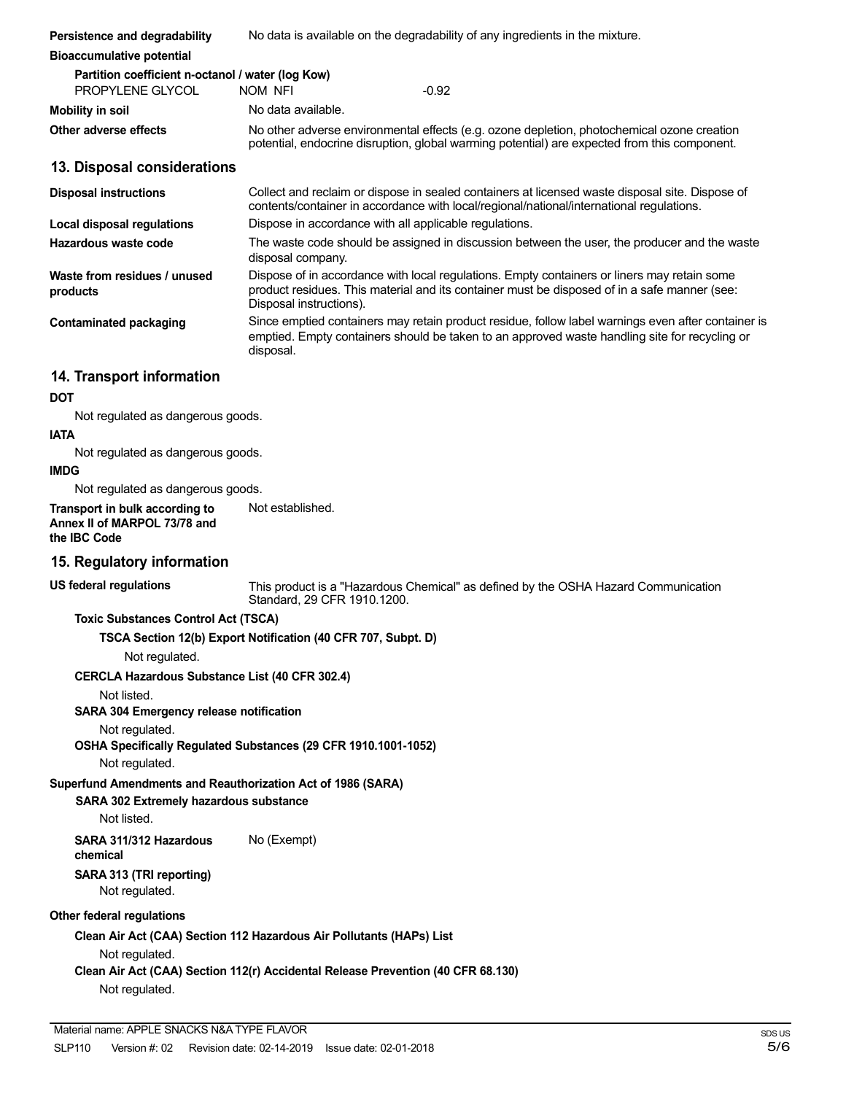| Persistence and degradability                                                                         | No data is available on the degradability of any ingredients in the mixture.                                                                                                                                           |
|-------------------------------------------------------------------------------------------------------|------------------------------------------------------------------------------------------------------------------------------------------------------------------------------------------------------------------------|
| <b>Bioaccumulative potential</b>                                                                      |                                                                                                                                                                                                                        |
| Partition coefficient n-octanol / water (log Kow)<br>PROPYLENE GLYCOL                                 | $-0.92$<br>NOM NFI                                                                                                                                                                                                     |
| <b>Mobility in soil</b>                                                                               | No data available.                                                                                                                                                                                                     |
| Other adverse effects                                                                                 | No other adverse environmental effects (e.g. ozone depletion, photochemical ozone creation<br>potential, endocrine disruption, global warming potential) are expected from this component.                             |
| 13. Disposal considerations                                                                           |                                                                                                                                                                                                                        |
| <b>Disposal instructions</b>                                                                          | Collect and reclaim or dispose in sealed containers at licensed waste disposal site. Dispose of<br>contents/container in accordance with local/regional/national/international regulations.                            |
| Local disposal regulations                                                                            | Dispose in accordance with all applicable regulations.                                                                                                                                                                 |
| Hazardous waste code                                                                                  | The waste code should be assigned in discussion between the user, the producer and the waste<br>disposal company.                                                                                                      |
| Waste from residues / unused<br>products                                                              | Dispose of in accordance with local regulations. Empty containers or liners may retain some<br>product residues. This material and its container must be disposed of in a safe manner (see:<br>Disposal instructions). |
| <b>Contaminated packaging</b>                                                                         | Since emptied containers may retain product residue, follow label warnings even after container is<br>emptied. Empty containers should be taken to an approved waste handling site for recycling or<br>disposal.       |
| 14. Transport information                                                                             |                                                                                                                                                                                                                        |
| DOT                                                                                                   |                                                                                                                                                                                                                        |
| Not regulated as dangerous goods.<br><b>IATA</b>                                                      |                                                                                                                                                                                                                        |
| Not regulated as dangerous goods.<br><b>IMDG</b>                                                      |                                                                                                                                                                                                                        |
| Not regulated as dangerous goods.                                                                     |                                                                                                                                                                                                                        |
| Transport in bulk according to<br>Annex II of MARPOL 73/78 and<br>the IBC Code                        | Not established.                                                                                                                                                                                                       |
| 15. Regulatory information                                                                            |                                                                                                                                                                                                                        |
| <b>US federal regulations</b>                                                                         | This product is a "Hazardous Chemical" as defined by the OSHA Hazard Communication<br>Standard, 29 CFR 1910.1200.                                                                                                      |
| <b>Toxic Substances Control Act (TSCA)</b><br>Not regulated.                                          | TSCA Section 12(b) Export Notification (40 CFR 707, Subpt. D)                                                                                                                                                          |
| CERCLA Hazardous Substance List (40 CFR 302.4)                                                        |                                                                                                                                                                                                                        |
| Not listed.                                                                                           |                                                                                                                                                                                                                        |
| SARA 304 Emergency release notification                                                               |                                                                                                                                                                                                                        |
| Not regulated.<br>Not regulated.                                                                      | OSHA Specifically Regulated Substances (29 CFR 1910.1001-1052)                                                                                                                                                         |
| Superfund Amendments and Reauthorization Act of 1986 (SARA)<br>SARA 302 Extremely hazardous substance |                                                                                                                                                                                                                        |
| Not listed.                                                                                           |                                                                                                                                                                                                                        |
| SARA 311/312 Hazardous<br>chemical                                                                    | No (Exempt)                                                                                                                                                                                                            |
| SARA 313 (TRI reporting)<br>Not regulated.                                                            |                                                                                                                                                                                                                        |
| Other federal regulations                                                                             |                                                                                                                                                                                                                        |
|                                                                                                       | Clean Air Act (CAA) Section 112 Hazardous Air Pollutants (HAPs) List                                                                                                                                                   |
| Not regulated.                                                                                        | Clean Air Act (CAA) Section 112(r) Accidental Release Prevention (40 CFR 68.130)                                                                                                                                       |
| Not regulated.                                                                                        |                                                                                                                                                                                                                        |
| Material name: APPLE SNACKS N&A TYPE FLAVOR                                                           |                                                                                                                                                                                                                        |